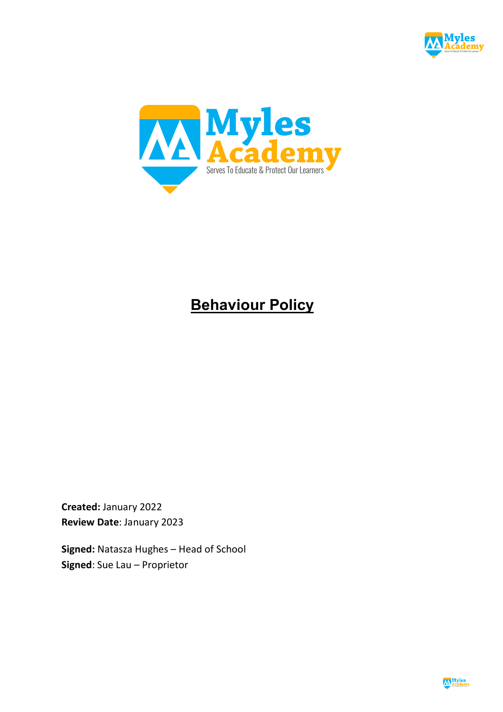



# **Behaviour Policy**

**Created:** January 2022 **Review Date**: January 2023

**Signed:** Natasza Hughes – Head of School **Signed**: Sue Lau – Proprietor

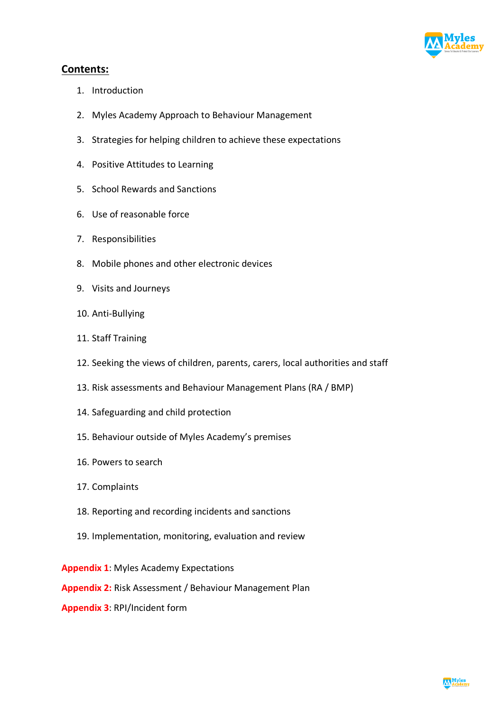

# **Contents:**

- 1. Introduction
- 2. Myles Academy Approach to Behaviour Management
- 3. Strategies for helping children to achieve these expectations
- 4. Positive Attitudes to Learning
- 5. School Rewards and Sanctions
- 6. Use of reasonable force
- 7. Responsibilities
- 8. Mobile phones and other electronic devices
- 9. Visits and Journeys
- 10. Anti-Bullying
- 11. Staff Training
- 12. Seeking the views of children, parents, carers, local authorities and staff
- 13. Risk assessments and Behaviour Management Plans (RA / BMP)
- 14. Safeguarding and child protection
- 15. Behaviour outside of Myles Academy's premises
- 16. Powers to search
- 17. Complaints
- 18. Reporting and recording incidents and sanctions
- 19. Implementation, monitoring, evaluation and review

**Appendix 1**: Myles Academy Expectations

**Appendix 2:** Risk Assessment / Behaviour Management Plan

**Appendix 3**: RPI/Incident form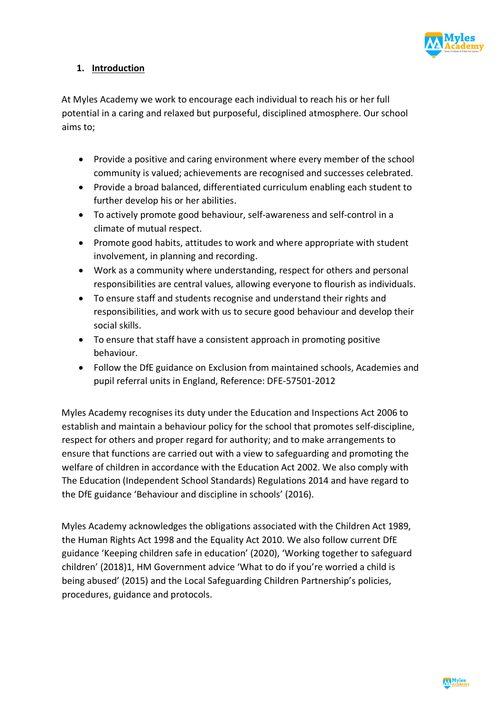

## **1. Introduction**

At Myles Academy we work to encourage each individual to reach his or her full potential in a caring and relaxed but purposeful, disciplined atmosphere. Our school aims to;

- Provide a positive and caring environment where every member of the school community is valued; achievements are recognised and successes celebrated.
- Provide a broad balanced, differentiated curriculum enabling each student to further develop his or her abilities.
- To actively promote good behaviour, self-awareness and self-control in a climate of mutual respect.
- Promote good habits, attitudes to work and where appropriate with student involvement, in planning and recording.
- Work as a community where understanding, respect for others and personal responsibilities are central values, allowing everyone to flourish as individuals.
- To ensure staff and students recognise and understand their rights and responsibilities, and work with us to secure good behaviour and develop their social skills.
- To ensure that staff have a consistent approach in promoting positive behaviour.
- Follow the DfE guidance on Exclusion from maintained schools, Academies and pupil referral units in England, Reference: DFE-57501-2012

Myles Academy recognises its duty under the Education and Inspections Act 2006 to establish and maintain a behaviour policy for the school that promotes self-discipline, respect for others and proper regard for authority; and to make arrangements to ensure that functions are carried out with a view to safeguarding and promoting the welfare of children in accordance with the Education Act 2002. We also comply with The Education (Independent School Standards) Regulations 2014 and have regard to the DfE guidance 'Behaviour and discipline in schools' (2016).

Myles Academy acknowledges the obligations associated with the Children Act 1989, the Human Rights Act 1998 and the Equality Act 2010. We also follow current DfE guidance 'Keeping children safe in education' (2020), 'Working together to safeguard children' (2018)1, HM Government advice 'What to do if you're worried a child is being abused' (2015) and the Local Safeguarding Children Partnership's policies, procedures, guidance and protocols.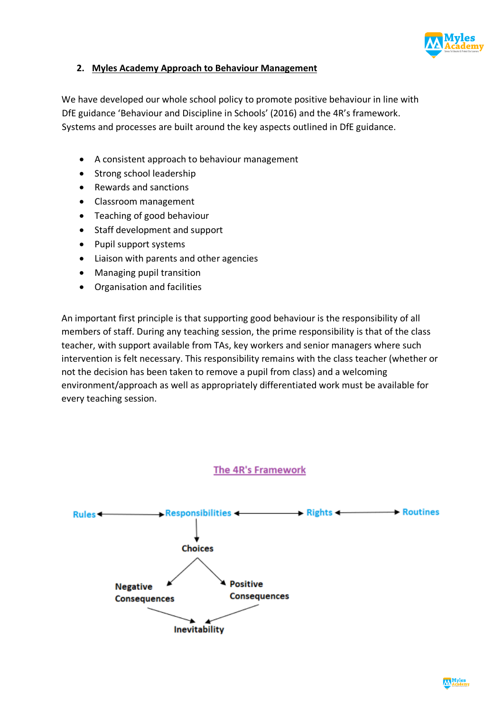

## **2. Myles Academy Approach to Behaviour Management**

We have developed our whole school policy to promote positive behaviour in line with DfE guidance 'Behaviour and Discipline in Schools' (2016) and the 4R's framework. Systems and processes are built around the key aspects outlined in DfE guidance.

- A consistent approach to behaviour management
- Strong school leadership
- Rewards and sanctions
- Classroom management
- Teaching of good behaviour
- Staff development and support
- Pupil support systems
- Liaison with parents and other agencies
- Managing pupil transition
- Organisation and facilities

An important first principle is that supporting good behaviour is the responsibility of all members of staff. During any teaching session, the prime responsibility is that of the class teacher, with support available from TAs, key workers and senior managers where such intervention is felt necessary. This responsibility remains with the class teacher (whether or not the decision has been taken to remove a pupil from class) and a welcoming environment/approach as well as appropriately differentiated work must be available for every teaching session.

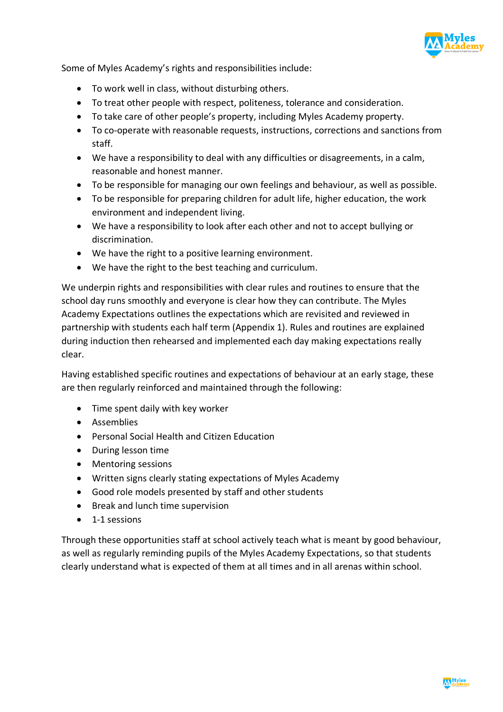

Some of Myles Academy's rights and responsibilities include:

- To work well in class, without disturbing others.
- To treat other people with respect, politeness, tolerance and consideration.
- To take care of other people's property, including Myles Academy property.
- To co-operate with reasonable requests, instructions, corrections and sanctions from staff.
- We have a responsibility to deal with any difficulties or disagreements, in a calm, reasonable and honest manner.
- To be responsible for managing our own feelings and behaviour, as well as possible.
- To be responsible for preparing children for adult life, higher education, the work environment and independent living.
- We have a responsibility to look after each other and not to accept bullying or discrimination.
- We have the right to a positive learning environment.
- We have the right to the best teaching and curriculum.

We underpin rights and responsibilities with clear rules and routines to ensure that the school day runs smoothly and everyone is clear how they can contribute. The Myles Academy Expectations outlines the expectations which are revisited and reviewed in partnership with students each half term (Appendix 1). Rules and routines are explained during induction then rehearsed and implemented each day making expectations really clear.

Having established specific routines and expectations of behaviour at an early stage, these are then regularly reinforced and maintained through the following:

- Time spent daily with key worker
- Assemblies
- Personal Social Health and Citizen Education
- During lesson time
- Mentoring sessions
- Written signs clearly stating expectations of Myles Academy
- Good role models presented by staff and other students
- Break and lunch time supervision
- 1-1 sessions

Through these opportunities staff at school actively teach what is meant by good behaviour, as well as regularly reminding pupils of the Myles Academy Expectations, so that students clearly understand what is expected of them at all times and in all arenas within school.

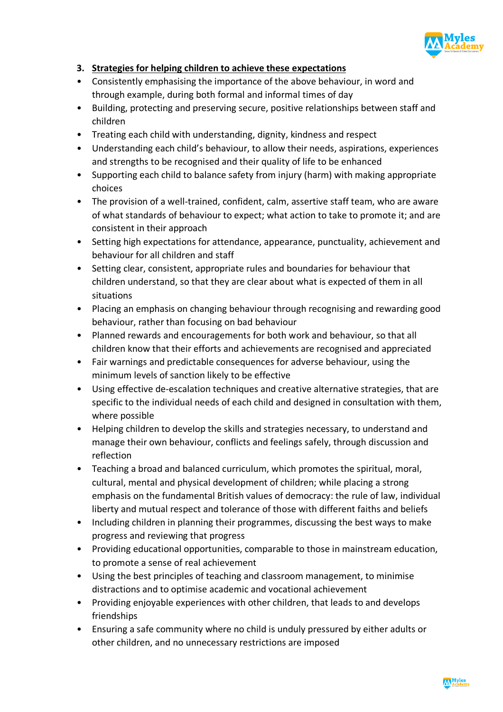

# **3. Strategies for helping children to achieve these expectations**

- Consistently emphasising the importance of the above behaviour, in word and through example, during both formal and informal times of day
- Building, protecting and preserving secure, positive relationships between staff and children
- Treating each child with understanding, dignity, kindness and respect
- Understanding each child's behaviour, to allow their needs, aspirations, experiences and strengths to be recognised and their quality of life to be enhanced
- Supporting each child to balance safety from injury (harm) with making appropriate choices
- The provision of a well-trained, confident, calm, assertive staff team, who are aware of what standards of behaviour to expect; what action to take to promote it; and are consistent in their approach
- Setting high expectations for attendance, appearance, punctuality, achievement and behaviour for all children and staff
- Setting clear, consistent, appropriate rules and boundaries for behaviour that children understand, so that they are clear about what is expected of them in all situations
- Placing an emphasis on changing behaviour through recognising and rewarding good behaviour, rather than focusing on bad behaviour
- Planned rewards and encouragements for both work and behaviour, so that all children know that their efforts and achievements are recognised and appreciated
- Fair warnings and predictable consequences for adverse behaviour, using the minimum levels of sanction likely to be effective
- Using effective de-escalation techniques and creative alternative strategies, that are specific to the individual needs of each child and designed in consultation with them, where possible
- Helping children to develop the skills and strategies necessary, to understand and manage their own behaviour, conflicts and feelings safely, through discussion and reflection
- Teaching a broad and balanced curriculum, which promotes the spiritual, moral, cultural, mental and physical development of children; while placing a strong emphasis on the fundamental British values of democracy: the rule of law, individual liberty and mutual respect and tolerance of those with different faiths and beliefs
- Including children in planning their programmes, discussing the best ways to make progress and reviewing that progress
- Providing educational opportunities, comparable to those in mainstream education, to promote a sense of real achievement
- Using the best principles of teaching and classroom management, to minimise distractions and to optimise academic and vocational achievement
- Providing enjoyable experiences with other children, that leads to and develops friendships
- Ensuring a safe community where no child is unduly pressured by either adults or other children, and no unnecessary restrictions are imposed

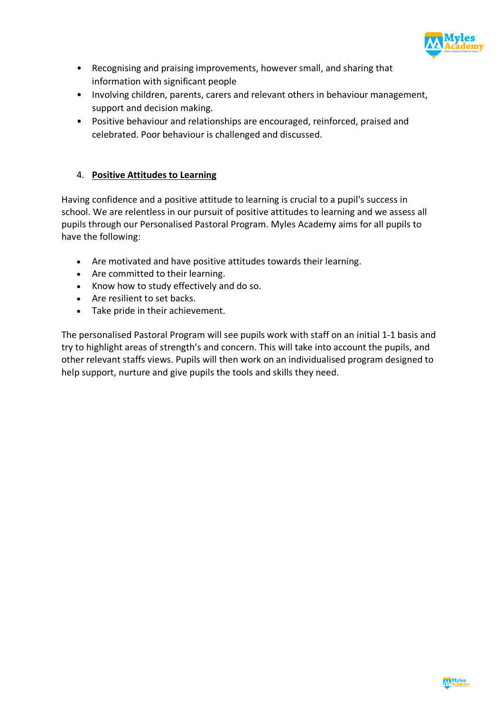

- Recognising and praising improvements, however small, and sharing that information with significant people
- Involving children, parents, carers and relevant others in behaviour management, support and decision making.
- Positive behaviour and relationships are encouraged, reinforced, praised and celebrated. Poor behaviour is challenged and discussed.

## 4. **Positive Attitudes to Learning**

Having confidence and a positive attitude to learning is crucial to a pupil's success in school. We are relentless in our pursuit of positive attitudes to learning and we assess all pupils through our Personalised Pastoral Program. Myles Academy aims for all pupils to have the following:

- Are motivated and have positive attitudes towards their learning.
- Are committed to their learning.
- Know how to study effectively and do so.
- Are resilient to set backs.
- Take pride in their achievement.

The personalised Pastoral Program will see pupils work with staff on an initial 1-1 basis and try to highlight areas of strength's and concern. This will take into account the pupils, and other relevant staffs views. Pupils will then work on an individualised program designed to help support, nurture and give pupils the tools and skills they need.

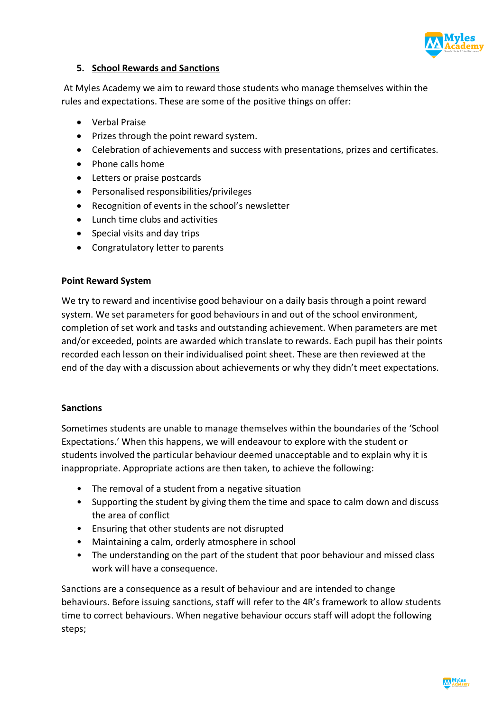

#### **5. School Rewards and Sanctions**

At Myles Academy we aim to reward those students who manage themselves within the rules and expectations. These are some of the positive things on offer:

- Verbal Praise
- Prizes through the point reward system.
- Celebration of achievements and success with presentations, prizes and certificates.
- Phone calls home
- Letters or praise postcards
- Personalised responsibilities/privileges
- Recognition of events in the school's newsletter
- Lunch time clubs and activities
- Special visits and day trips
- Congratulatory letter to parents

#### **Point Reward System**

We try to reward and incentivise good behaviour on a daily basis through a point reward system. We set parameters for good behaviours in and out of the school environment, completion of set work and tasks and outstanding achievement. When parameters are met and/or exceeded, points are awarded which translate to rewards. Each pupil has their points recorded each lesson on their individualised point sheet. These are then reviewed at the end of the day with a discussion about achievements or why they didn't meet expectations.

#### **Sanctions**

Sometimes students are unable to manage themselves within the boundaries of the 'School Expectations.' When this happens, we will endeavour to explore with the student or students involved the particular behaviour deemed unacceptable and to explain why it is inappropriate. Appropriate actions are then taken, to achieve the following:

- The removal of a student from a negative situation
- Supporting the student by giving them the time and space to calm down and discuss the area of conflict
- Ensuring that other students are not disrupted
- Maintaining a calm, orderly atmosphere in school
- The understanding on the part of the student that poor behaviour and missed class work will have a consequence.

Sanctions are a consequence as a result of behaviour and are intended to change behaviours. Before issuing sanctions, staff will refer to the 4R's framework to allow students time to correct behaviours. When negative behaviour occurs staff will adopt the following steps;

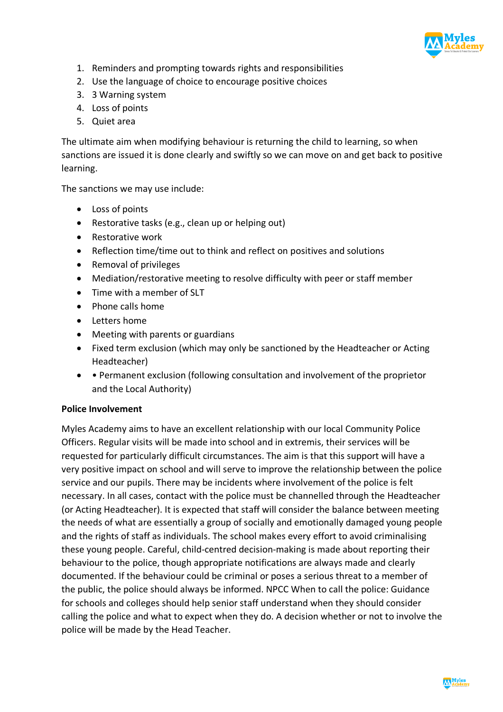

- 1. Reminders and prompting towards rights and responsibilities
- 2. Use the language of choice to encourage positive choices
- 3. 3 Warning system
- 4. Loss of points
- 5. Quiet area

The ultimate aim when modifying behaviour is returning the child to learning, so when sanctions are issued it is done clearly and swiftly so we can move on and get back to positive learning.

The sanctions we may use include:

- Loss of points
- Restorative tasks (e.g., clean up or helping out)
- Restorative work
- Reflection time/time out to think and reflect on positives and solutions
- Removal of privileges
- Mediation/restorative meeting to resolve difficulty with peer or staff member
- Time with a member of SLT
- Phone calls home
- Letters home
- Meeting with parents or guardians
- Fixed term exclusion (which may only be sanctioned by the Headteacher or Acting Headteacher)
- • Permanent exclusion (following consultation and involvement of the proprietor and the Local Authority)

#### **Police Involvement**

Myles Academy aims to have an excellent relationship with our local Community Police Officers. Regular visits will be made into school and in extremis, their services will be requested for particularly difficult circumstances. The aim is that this support will have a very positive impact on school and will serve to improve the relationship between the police service and our pupils. There may be incidents where involvement of the police is felt necessary. In all cases, contact with the police must be channelled through the Headteacher (or Acting Headteacher). It is expected that staff will consider the balance between meeting the needs of what are essentially a group of socially and emotionally damaged young people and the rights of staff as individuals. The school makes every effort to avoid criminalising these young people. Careful, child-centred decision-making is made about reporting their behaviour to the police, though appropriate notifications are always made and clearly documented. If the behaviour could be criminal or poses a serious threat to a member of the public, the police should always be informed. NPCC When to call the police: Guidance for schools and colleges should help senior staff understand when they should consider calling the police and what to expect when they do. A decision whether or not to involve the police will be made by the Head Teacher.

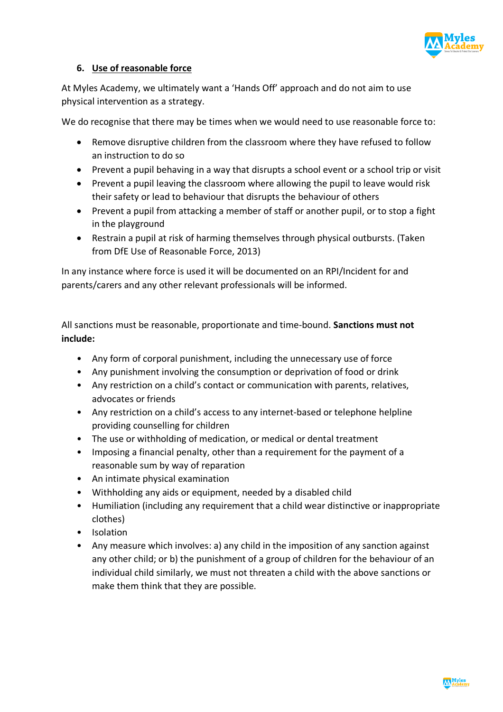

## **6. Use of reasonable force**

At Myles Academy, we ultimately want a 'Hands Off' approach and do not aim to use physical intervention as a strategy.

We do recognise that there may be times when we would need to use reasonable force to:

- Remove disruptive children from the classroom where they have refused to follow an instruction to do so
- Prevent a pupil behaving in a way that disrupts a school event or a school trip or visit
- Prevent a pupil leaving the classroom where allowing the pupil to leave would risk their safety or lead to behaviour that disrupts the behaviour of others
- Prevent a pupil from attacking a member of staff or another pupil, or to stop a fight in the playground
- Restrain a pupil at risk of harming themselves through physical outbursts. (Taken from DfE Use of Reasonable Force, 2013)

In any instance where force is used it will be documented on an RPI/Incident for and parents/carers and any other relevant professionals will be informed.

All sanctions must be reasonable, proportionate and time-bound. **Sanctions must not include:**

- Any form of corporal punishment, including the unnecessary use of force
- Any punishment involving the consumption or deprivation of food or drink
- Any restriction on a child's contact or communication with parents, relatives, advocates or friends
- Any restriction on a child's access to any internet-based or telephone helpline providing counselling for children
- The use or withholding of medication, or medical or dental treatment
- Imposing a financial penalty, other than a requirement for the payment of a reasonable sum by way of reparation
- An intimate physical examination
- Withholding any aids or equipment, needed by a disabled child
- Humiliation (including any requirement that a child wear distinctive or inappropriate clothes)
- Isolation
- Any measure which involves: a) any child in the imposition of any sanction against any other child; or b) the punishment of a group of children for the behaviour of an individual child similarly, we must not threaten a child with the above sanctions or make them think that they are possible.

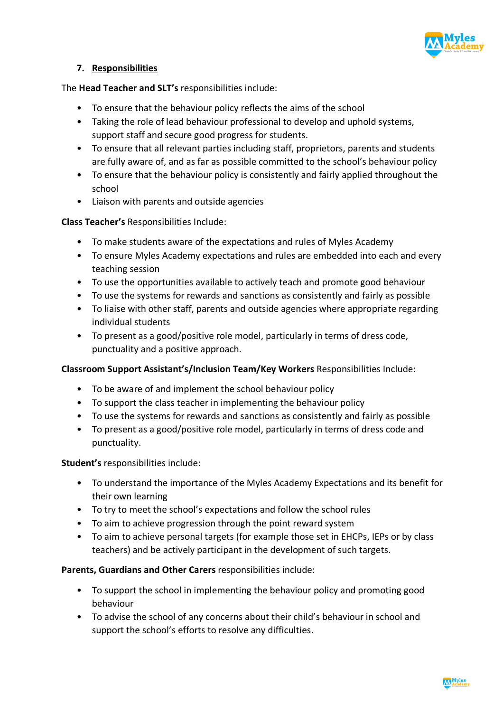

#### **7. Responsibilities**

The **Head Teacher and SLT's** responsibilities include:

- To ensure that the behaviour policy reflects the aims of the school
- Taking the role of lead behaviour professional to develop and uphold systems, support staff and secure good progress for students.
- To ensure that all relevant parties including staff, proprietors, parents and students are fully aware of, and as far as possible committed to the school's behaviour policy
- To ensure that the behaviour policy is consistently and fairly applied throughout the school
- Liaison with parents and outside agencies

#### **Class Teacher's** Responsibilities Include:

- To make students aware of the expectations and rules of Myles Academy
- To ensure Myles Academy expectations and rules are embedded into each and every teaching session
- To use the opportunities available to actively teach and promote good behaviour
- To use the systems for rewards and sanctions as consistently and fairly as possible
- To liaise with other staff, parents and outside agencies where appropriate regarding individual students
- To present as a good/positive role model, particularly in terms of dress code, punctuality and a positive approach.

#### **Classroom Support Assistant's/Inclusion Team/Key Workers** Responsibilities Include:

- To be aware of and implement the school behaviour policy
- To support the class teacher in implementing the behaviour policy
- To use the systems for rewards and sanctions as consistently and fairly as possible
- To present as a good/positive role model, particularly in terms of dress code and punctuality.

#### **Student's** responsibilities include:

- To understand the importance of the Myles Academy Expectations and its benefit for their own learning
- To try to meet the school's expectations and follow the school rules
- To aim to achieve progression through the point reward system
- To aim to achieve personal targets (for example those set in EHCPs, IEPs or by class teachers) and be actively participant in the development of such targets.

#### **Parents, Guardians and Other Carers** responsibilities include:

- To support the school in implementing the behaviour policy and promoting good behaviour
- To advise the school of any concerns about their child's behaviour in school and support the school's efforts to resolve any difficulties.

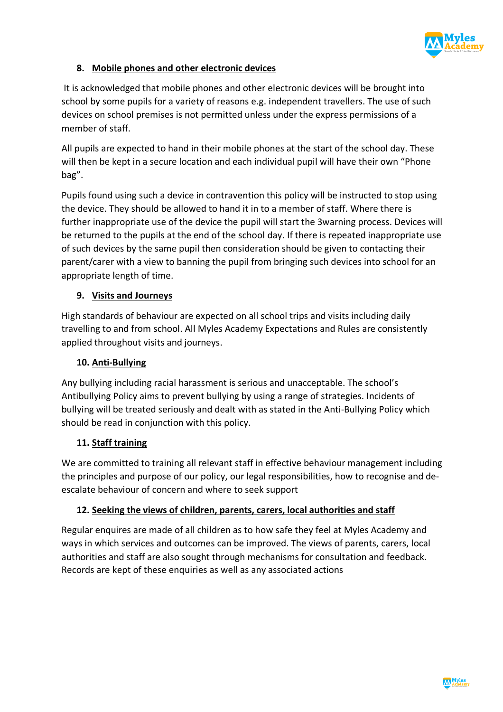

# **8. Mobile phones and other electronic devices**

It is acknowledged that mobile phones and other electronic devices will be brought into school by some pupils for a variety of reasons e.g. independent travellers. The use of such devices on school premises is not permitted unless under the express permissions of a member of staff.

All pupils are expected to hand in their mobile phones at the start of the school day. These will then be kept in a secure location and each individual pupil will have their own "Phone bag".

Pupils found using such a device in contravention this policy will be instructed to stop using the device. They should be allowed to hand it in to a member of staff. Where there is further inappropriate use of the device the pupil will start the 3warning process. Devices will be returned to the pupils at the end of the school day. If there is repeated inappropriate use of such devices by the same pupil then consideration should be given to contacting their parent/carer with a view to banning the pupil from bringing such devices into school for an appropriate length of time.

# **9. Visits and Journeys**

High standards of behaviour are expected on all school trips and visits including daily travelling to and from school. All Myles Academy Expectations and Rules are consistently applied throughout visits and journeys.

## **10. Anti-Bullying**

Any bullying including racial harassment is serious and unacceptable. The school's Antibullying Policy aims to prevent bullying by using a range of strategies. Incidents of bullying will be treated seriously and dealt with as stated in the Anti-Bullying Policy which should be read in conjunction with this policy.

# **11. Staff training**

We are committed to training all relevant staff in effective behaviour management including the principles and purpose of our policy, our legal responsibilities, how to recognise and deescalate behaviour of concern and where to seek support

## **12. Seeking the views of children, parents, carers, local authorities and staff**

Regular enquires are made of all children as to how safe they feel at Myles Academy and ways in which services and outcomes can be improved. The views of parents, carers, local authorities and staff are also sought through mechanisms for consultation and feedback. Records are kept of these enquiries as well as any associated actions

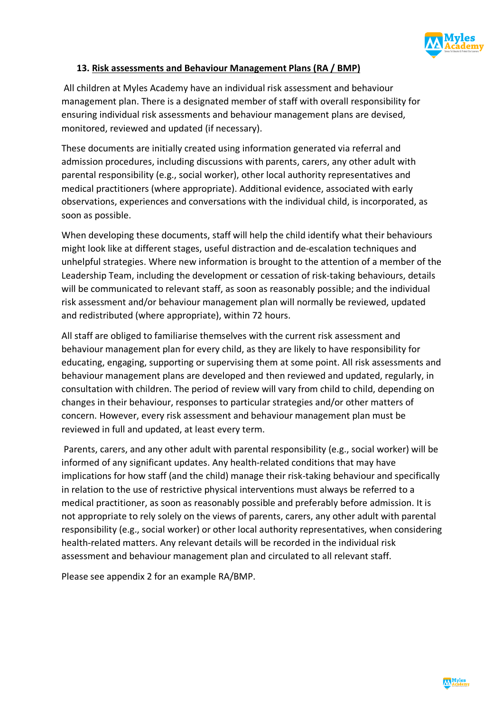

## **13. Risk assessments and Behaviour Management Plans (RA / BMP)**

All children at Myles Academy have an individual risk assessment and behaviour management plan. There is a designated member of staff with overall responsibility for ensuring individual risk assessments and behaviour management plans are devised, monitored, reviewed and updated (if necessary).

These documents are initially created using information generated via referral and admission procedures, including discussions with parents, carers, any other adult with parental responsibility (e.g., social worker), other local authority representatives and medical practitioners (where appropriate). Additional evidence, associated with early observations, experiences and conversations with the individual child, is incorporated, as soon as possible.

When developing these documents, staff will help the child identify what their behaviours might look like at different stages, useful distraction and de-escalation techniques and unhelpful strategies. Where new information is brought to the attention of a member of the Leadership Team, including the development or cessation of risk-taking behaviours, details will be communicated to relevant staff, as soon as reasonably possible; and the individual risk assessment and/or behaviour management plan will normally be reviewed, updated and redistributed (where appropriate), within 72 hours.

All staff are obliged to familiarise themselves with the current risk assessment and behaviour management plan for every child, as they are likely to have responsibility for educating, engaging, supporting or supervising them at some point. All risk assessments and behaviour management plans are developed and then reviewed and updated, regularly, in consultation with children. The period of review will vary from child to child, depending on changes in their behaviour, responses to particular strategies and/or other matters of concern. However, every risk assessment and behaviour management plan must be reviewed in full and updated, at least every term.

Parents, carers, and any other adult with parental responsibility (e.g., social worker) will be informed of any significant updates. Any health-related conditions that may have implications for how staff (and the child) manage their risk-taking behaviour and specifically in relation to the use of restrictive physical interventions must always be referred to a medical practitioner, as soon as reasonably possible and preferably before admission. It is not appropriate to rely solely on the views of parents, carers, any other adult with parental responsibility (e.g., social worker) or other local authority representatives, when considering health-related matters. Any relevant details will be recorded in the individual risk assessment and behaviour management plan and circulated to all relevant staff.

Please see appendix 2 for an example RA/BMP.

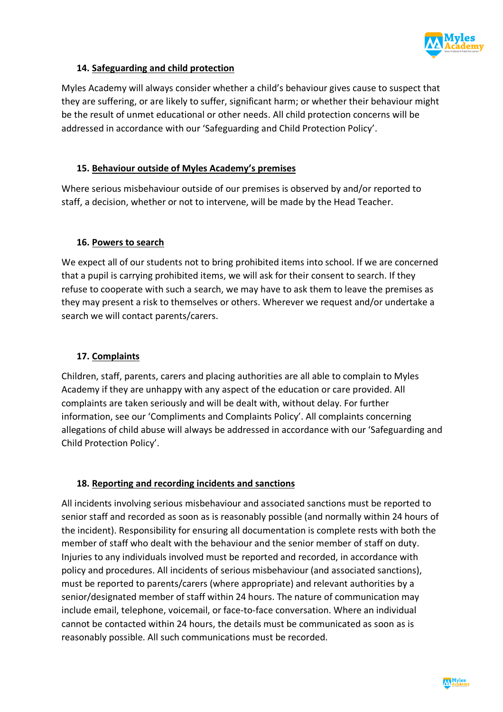

## **14. Safeguarding and child protection**

Myles Academy will always consider whether a child's behaviour gives cause to suspect that they are suffering, or are likely to suffer, significant harm; or whether their behaviour might be the result of unmet educational or other needs. All child protection concerns will be addressed in accordance with our 'Safeguarding and Child Protection Policy'.

#### **15. Behaviour outside of Myles Academy's premises**

Where serious misbehaviour outside of our premises is observed by and/or reported to staff, a decision, whether or not to intervene, will be made by the Head Teacher.

#### **16. Powers to search**

We expect all of our students not to bring prohibited items into school. If we are concerned that a pupil is carrying prohibited items, we will ask for their consent to search. If they refuse to cooperate with such a search, we may have to ask them to leave the premises as they may present a risk to themselves or others. Wherever we request and/or undertake a search we will contact parents/carers.

## **17. Complaints**

Children, staff, parents, carers and placing authorities are all able to complain to Myles Academy if they are unhappy with any aspect of the education or care provided. All complaints are taken seriously and will be dealt with, without delay. For further information, see our 'Compliments and Complaints Policy'. All complaints concerning allegations of child abuse will always be addressed in accordance with our 'Safeguarding and Child Protection Policy'.

## **18. Reporting and recording incidents and sanctions**

All incidents involving serious misbehaviour and associated sanctions must be reported to senior staff and recorded as soon as is reasonably possible (and normally within 24 hours of the incident). Responsibility for ensuring all documentation is complete rests with both the member of staff who dealt with the behaviour and the senior member of staff on duty. Injuries to any individuals involved must be reported and recorded, in accordance with policy and procedures. All incidents of serious misbehaviour (and associated sanctions), must be reported to parents/carers (where appropriate) and relevant authorities by a senior/designated member of staff within 24 hours. The nature of communication may include email, telephone, voicemail, or face-to-face conversation. Where an individual cannot be contacted within 24 hours, the details must be communicated as soon as is reasonably possible. All such communications must be recorded.

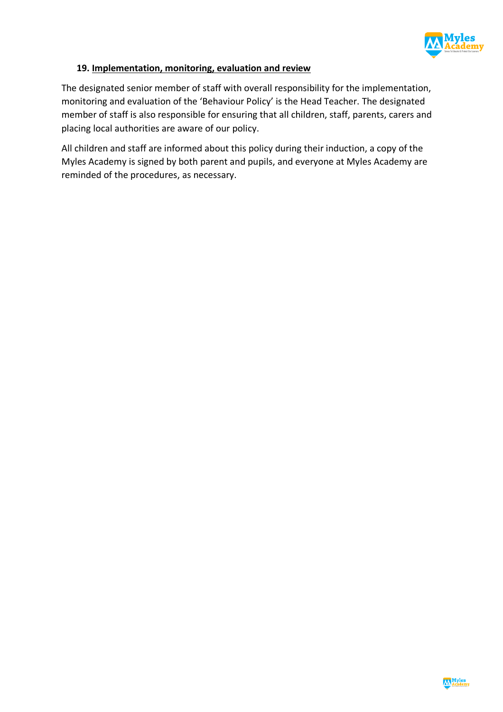

#### **19. Implementation, monitoring, evaluation and review**

The designated senior member of staff with overall responsibility for the implementation, monitoring and evaluation of the 'Behaviour Policy' is the Head Teacher. The designated member of staff is also responsible for ensuring that all children, staff, parents, carers and placing local authorities are aware of our policy.

All children and staff are informed about this policy during their induction, a copy of the Myles Academy is signed by both parent and pupils, and everyone at Myles Academy are reminded of the procedures, as necessary.

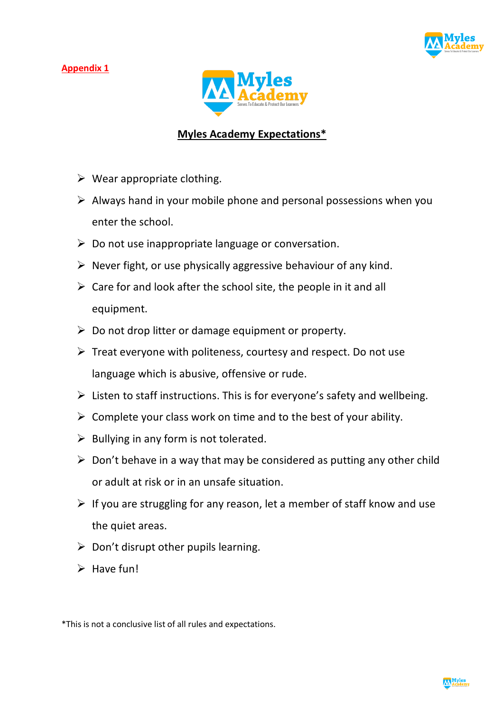#### **Appendix 1**





# **Myles Academy Expectations\***

- $\triangleright$  Wear appropriate clothing.
- $\triangleright$  Always hand in your mobile phone and personal possessions when you enter the school.
- $\triangleright$  Do not use inappropriate language or conversation.
- $\triangleright$  Never fight, or use physically aggressive behaviour of any kind.
- $\triangleright$  Care for and look after the school site, the people in it and all equipment.
- $\triangleright$  Do not drop litter or damage equipment or property.
- $\triangleright$  Treat everyone with politeness, courtesy and respect. Do not use language which is abusive, offensive or rude.
- $\triangleright$  Listen to staff instructions. This is for everyone's safety and wellbeing.
- $\triangleright$  Complete your class work on time and to the best of your ability.
- $\triangleright$  Bullying in any form is not tolerated.
- $\triangleright$  Don't behave in a way that may be considered as putting any other child or adult at risk or in an unsafe situation.
- $\triangleright$  If you are struggling for any reason, let a member of staff know and use the quiet areas.
- $\triangleright$  Don't disrupt other pupils learning.
- $\triangleright$  Have fun!



<sup>\*</sup>This is not a conclusive list of all rules and expectations.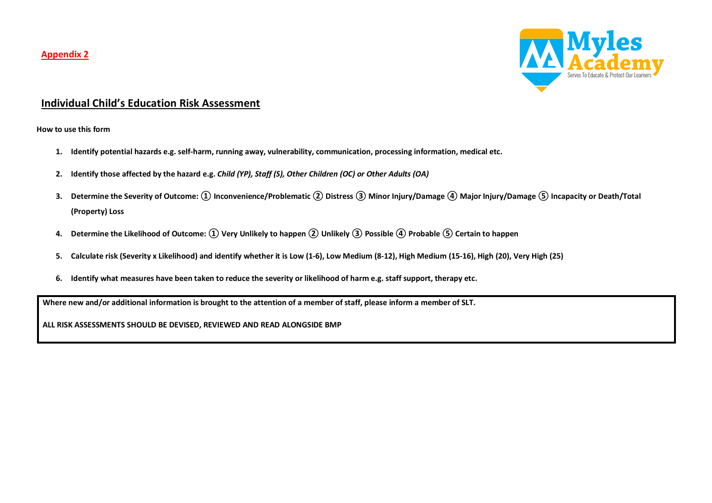#### **Appendix 2**



# **Individual Child's Education Risk Assessment**

**How to use this form**

- **1. Identify potential hazards e.g. self-harm, running away, vulnerability, communication, processing information, medical etc.**
- **2. Identify those affected by the hazard e.g.** *Child (YP), Staff (S), Other Children (OC) or Other Adults (OA)*
- **3. Determine the Severity of Outcome: ① Inconvenience/Problematic ② Distress③ Minor Injury/Damage④ Major Injury/Damage ⑤ Incapacity or Death/Total (Property) Loss**
- **4. Determine the Likelihood of Outcome: ① Very Unlikely to happen② Unlikely③ Possible④ Probable ⑤ Certain to happen**
- **5. Calculate risk (Severity x Likelihood) and identify whether it is Low (1-6), Low Medium (8-12), High Medium (15-16), High (20), Very High (25)**
- **6. Identify what measures have been taken to reduce the severity or likelihood of harm e.g. staff support, therapy etc.**

**Where new and/or additional information is brought to the attention of a member of staff, please inform a member of SLT.**

**ALL RISK ASSESSMENTS SHOULD BE DEVISED, REVIEWED AND READ ALONGSIDE BMP**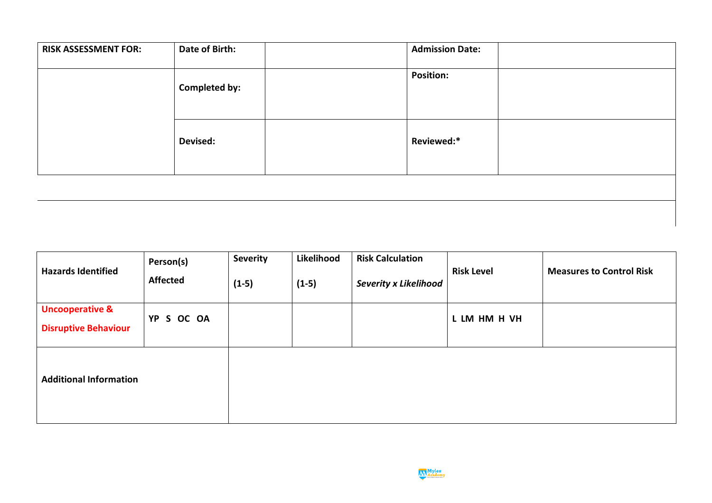| <b>RISK ASSESSMENT FOR:</b> | Date of Birth:       | <b>Admission Date:</b> |  |
|-----------------------------|----------------------|------------------------|--|
|                             | <b>Completed by:</b> | <b>Position:</b>       |  |
|                             | <b>Devised:</b>      | Reviewed:*             |  |

| <b>Hazards Identified</b>                                 | Person(s)<br><b>Affected</b> | <b>Severity</b><br>$(1-5)$ | Likelihood<br>$(1-5)$ | <b>Risk Calculation</b><br><b>Severity x Likelihood</b> | <b>Risk Level</b> | <b>Measures to Control Risk</b> |
|-----------------------------------------------------------|------------------------------|----------------------------|-----------------------|---------------------------------------------------------|-------------------|---------------------------------|
| <b>Uncooperative &amp;</b><br><b>Disruptive Behaviour</b> | YP S OC OA                   |                            |                       |                                                         | L LM HM H VH      |                                 |
| <b>Additional Information</b>                             |                              |                            |                       |                                                         |                   |                                 |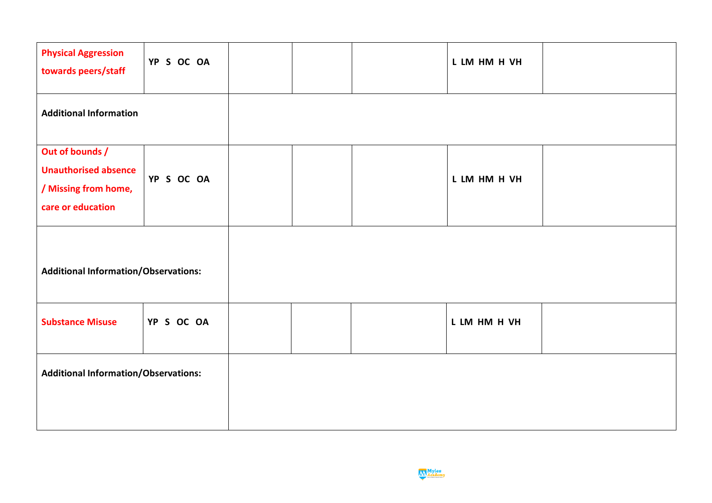| <b>Physical Aggression</b><br>towards peers/staff                                           | YP S OC OA |  | L LM HM H VH |  |
|---------------------------------------------------------------------------------------------|------------|--|--------------|--|
| <b>Additional Information</b>                                                               |            |  |              |  |
| Out of bounds /<br><b>Unauthorised absence</b><br>/ Missing from home,<br>care or education | YP S OC OA |  | L LM HM H VH |  |
| <b>Additional Information/Observations:</b>                                                 |            |  |              |  |
| <b>Substance Misuse</b>                                                                     | YP S OC OA |  | L LM HM H VH |  |
| <b>Additional Information/Observations:</b>                                                 |            |  |              |  |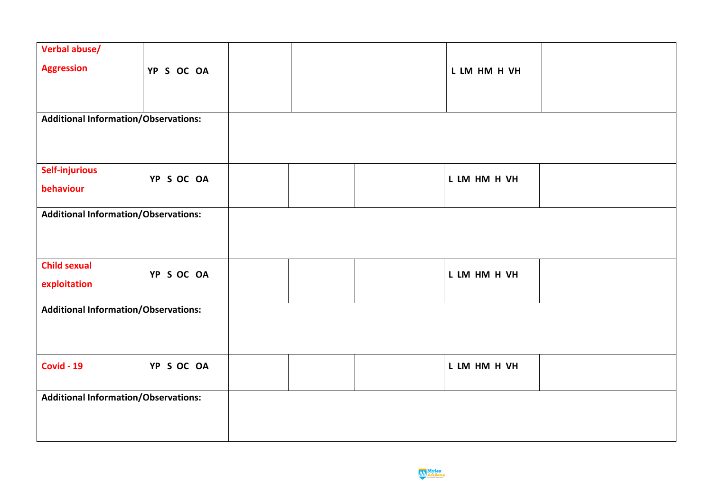| Verbal abuse/                               |                                             |  |              |  |  |  |
|---------------------------------------------|---------------------------------------------|--|--------------|--|--|--|
|                                             |                                             |  |              |  |  |  |
| <b>Aggression</b>                           | YP S OC OA                                  |  | L LM HM H VH |  |  |  |
|                                             |                                             |  |              |  |  |  |
|                                             |                                             |  |              |  |  |  |
|                                             |                                             |  |              |  |  |  |
| <b>Additional Information/Observations:</b> |                                             |  |              |  |  |  |
|                                             |                                             |  |              |  |  |  |
|                                             |                                             |  |              |  |  |  |
|                                             |                                             |  |              |  |  |  |
|                                             |                                             |  |              |  |  |  |
| <b>Self-injurious</b>                       |                                             |  |              |  |  |  |
| behaviour                                   | YP S OC OA                                  |  | L LM HM H VH |  |  |  |
|                                             |                                             |  |              |  |  |  |
|                                             |                                             |  |              |  |  |  |
| <b>Additional Information/Observations:</b> |                                             |  |              |  |  |  |
|                                             |                                             |  |              |  |  |  |
|                                             |                                             |  |              |  |  |  |
|                                             |                                             |  |              |  |  |  |
| <b>Child sexual</b>                         |                                             |  |              |  |  |  |
|                                             | YP S OC OA                                  |  | L LM HM H VH |  |  |  |
| exploitation                                |                                             |  |              |  |  |  |
|                                             |                                             |  |              |  |  |  |
| <b>Additional Information/Observations:</b> |                                             |  |              |  |  |  |
|                                             |                                             |  |              |  |  |  |
|                                             |                                             |  |              |  |  |  |
|                                             |                                             |  |              |  |  |  |
|                                             |                                             |  |              |  |  |  |
| <b>Covid - 19</b>                           | YP S OC OA                                  |  | L LM HM H VH |  |  |  |
|                                             |                                             |  |              |  |  |  |
|                                             |                                             |  |              |  |  |  |
|                                             | <b>Additional Information/Observations:</b> |  |              |  |  |  |
|                                             |                                             |  |              |  |  |  |
|                                             |                                             |  |              |  |  |  |
|                                             |                                             |  |              |  |  |  |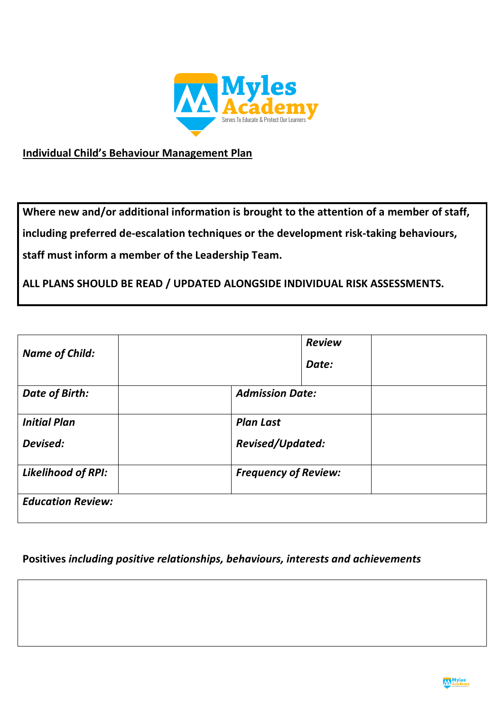

# **Individual Child's Behaviour Management Plan**

**Where new and/or additional information is brought to the attention of a member of staff, including preferred de-escalation techniques or the development risk-taking behaviours, staff must inform a member of the Leadership Team.**

**ALL PLANS SHOULD BE READ / UPDATED ALONGSIDE INDIVIDUAL RISK ASSESSMENTS.**

| <b>Name of Child:</b>     | <b>Review</b><br>Date:      |
|---------------------------|-----------------------------|
| Date of Birth:            | <b>Admission Date:</b>      |
| <b>Initial Plan</b>       | <b>Plan Last</b>            |
| Devised:                  | Revised/Updated:            |
| <b>Likelihood of RPI:</b> | <b>Frequency of Review:</b> |
| <b>Education Review:</b>  |                             |

# **Positives** *including positive relationships, behaviours, interests and achievements*

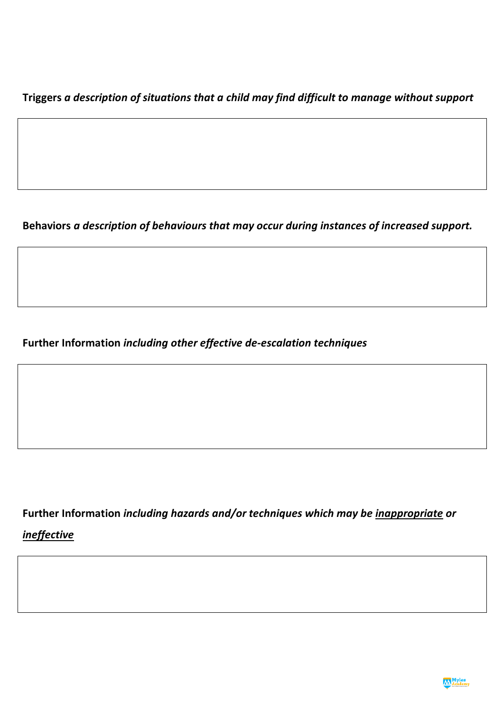**Triggers** *a description of situations that a child may find difficult to manage without support*

**Behaviors** *a description of behaviours that may occur during instances of increased support.*

**Further Information** *including other effective de-escalation techniques*

**Further Information** *including hazards and/or techniques which may be inappropriate or* 

*ineffective*

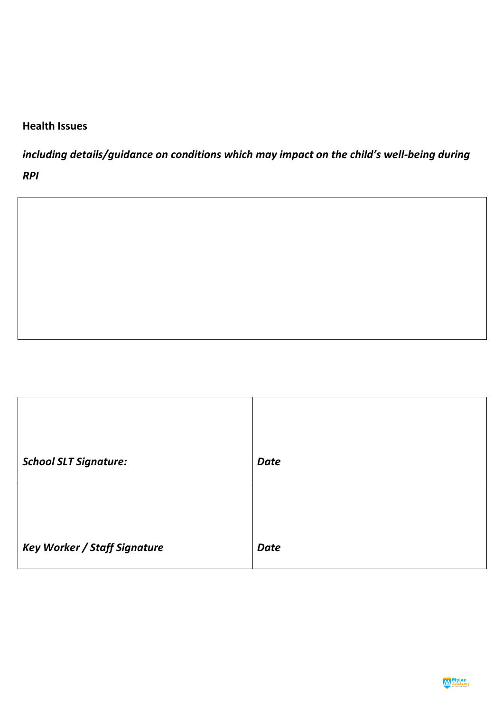# **Health Issues**

*including details/guidance on conditions which may impact on the child's well-being during* 

*RPI*

| <b>School SLT Signature:</b>        | <b>Date</b> |
|-------------------------------------|-------------|
|                                     |             |
| <b>Key Worker / Staff Signature</b> | <b>Date</b> |

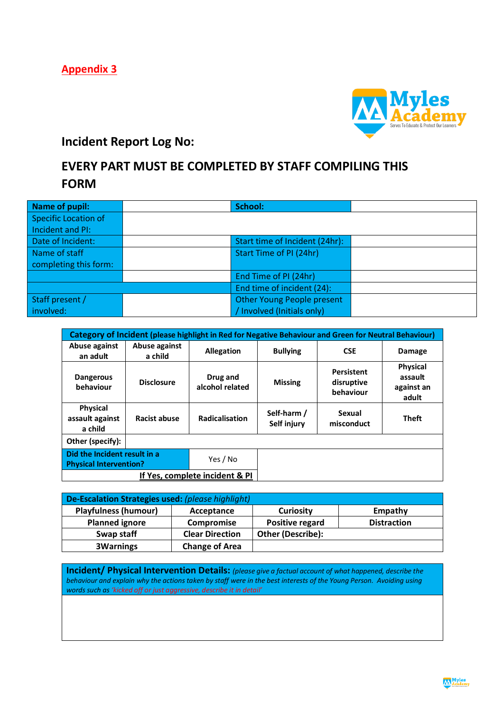**Appendix 3**



# **Incident Report Log No:**

# **EVERY PART MUST BE COMPLETED BY STAFF COMPILING THIS FORM**

| Name of pupil:              | School:                        |
|-----------------------------|--------------------------------|
| <b>Specific Location of</b> |                                |
| Incident and PI:            |                                |
| Date of Incident:           | Start time of Incident (24hr): |
| Name of staff               | Start Time of PI (24hr)        |
| completing this form:       |                                |
|                             | End Time of PI (24hr)          |
|                             | End time of incident (24):     |
| Staff present /             | Other Young People present     |
| involved:                   | / Involved (Initials only)     |

| Category of Incident (please highlight in Red for Negative Behaviour and Green for Neutral Behaviour) |                          |                                |                            |                                       |                                                   |  |
|-------------------------------------------------------------------------------------------------------|--------------------------|--------------------------------|----------------------------|---------------------------------------|---------------------------------------------------|--|
| Abuse against<br>an adult                                                                             | Abuse against<br>a child | <b>Allegation</b>              | <b>Bullying</b>            | <b>CSE</b>                            | <b>Damage</b>                                     |  |
| <b>Dangerous</b><br>behaviour                                                                         | <b>Disclosure</b>        | Drug and<br>alcohol related    | <b>Missing</b>             | Persistent<br>disruptive<br>behaviour | <b>Physical</b><br>assault<br>against an<br>adult |  |
| <b>Physical</b><br>assault against<br>a child                                                         | <b>Racist abuse</b>      | <b>Radicalisation</b>          | Self-harm /<br>Self injury | Sexual<br>misconduct                  | <b>Theft</b>                                      |  |
| Other (specify):                                                                                      |                          |                                |                            |                                       |                                                   |  |
| Did the Incident result in a<br><b>Physical Intervention?</b>                                         |                          | Yes / No                       |                            |                                       |                                                   |  |
|                                                                                                       |                          | If Yes, complete incident & PI |                            |                                       |                                                   |  |

| De-Escalation Strategies used: (please highlight) |                        |                          |                    |  |  |  |  |
|---------------------------------------------------|------------------------|--------------------------|--------------------|--|--|--|--|
| <b>Playfulness (humour)</b>                       | Acceptance             | <b>Curiosity</b>         | Empathy            |  |  |  |  |
| <b>Planned ignore</b>                             | Compromise             | Positive regard          | <b>Distraction</b> |  |  |  |  |
| Swap staff                                        | <b>Clear Direction</b> | <b>Other (Describe):</b> |                    |  |  |  |  |
| <b>3Warnings</b>                                  | <b>Change of Area</b>  |                          |                    |  |  |  |  |

**Incident/ Physical Intervention Details:** *(please give a factual account of what happened, describe the behaviour and explain why the actions taken by staff were in the best interests of the Young Person. Avoiding using words such as 'kicked off or just aggressive, describe it in detail'*

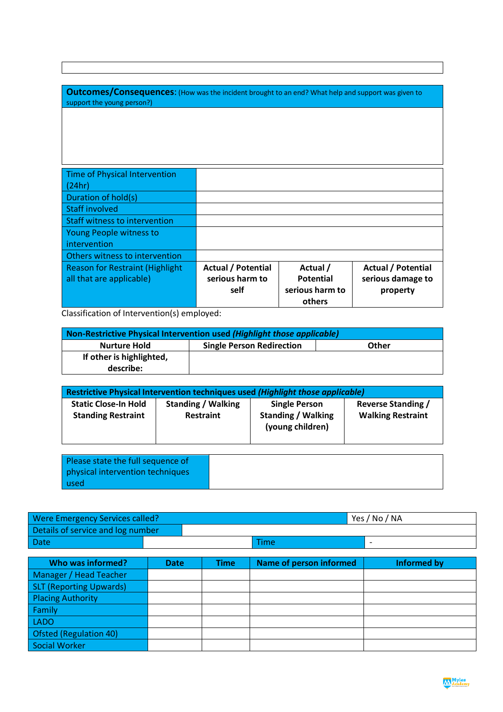| <b>Outcomes/Consequences:</b> (How was the incident brought to an end? What help and support was given to<br>support the young person?) |                           |                  |                           |  |  |
|-----------------------------------------------------------------------------------------------------------------------------------------|---------------------------|------------------|---------------------------|--|--|
|                                                                                                                                         |                           |                  |                           |  |  |
|                                                                                                                                         |                           |                  |                           |  |  |
|                                                                                                                                         |                           |                  |                           |  |  |
| Time of Physical Intervention                                                                                                           |                           |                  |                           |  |  |
| (24hr)                                                                                                                                  |                           |                  |                           |  |  |
| Duration of hold(s)                                                                                                                     |                           |                  |                           |  |  |
| Staff involved                                                                                                                          |                           |                  |                           |  |  |
| Staff witness to intervention                                                                                                           |                           |                  |                           |  |  |
| Young People witness to                                                                                                                 |                           |                  |                           |  |  |
| intervention                                                                                                                            |                           |                  |                           |  |  |
| Others witness to intervention                                                                                                          |                           |                  |                           |  |  |
| <b>Reason for Restraint (Highlight</b>                                                                                                  | <b>Actual / Potential</b> | Actual /         | <b>Actual / Potential</b> |  |  |
| all that are applicable)                                                                                                                | serious harm to           | <b>Potential</b> | serious damage to         |  |  |
|                                                                                                                                         | self                      | serious harm to  | property                  |  |  |
|                                                                                                                                         |                           | others           |                           |  |  |

Classification of Intervention(s) employed:

used

| Non-Restrictive Physical Intervention used (Highlight those applicable) |                                  |              |  |  |  |
|-------------------------------------------------------------------------|----------------------------------|--------------|--|--|--|
| Nurture Hold                                                            | <b>Single Person Redirection</b> | <b>Other</b> |  |  |  |
| If other is highlighted,                                                |                                  |              |  |  |  |
| describe:                                                               |                                  |              |  |  |  |

| Restrictive Physical Intervention techniques used (Highlight those applicable) |                                               |                                                                       |                                                       |  |  |  |  |
|--------------------------------------------------------------------------------|-----------------------------------------------|-----------------------------------------------------------------------|-------------------------------------------------------|--|--|--|--|
| <b>Static Close-In Hold</b><br><b>Standing Restraint</b>                       | <b>Standing / Walking</b><br><b>Restraint</b> | <b>Single Person</b><br><b>Standing / Walking</b><br>(young children) | <b>Reverse Standing /</b><br><b>Walking Restraint</b> |  |  |  |  |
|                                                                                |                                               |                                                                       |                                                       |  |  |  |  |
| Please state the full sequence of<br>physical intervention techniques          |                                               |                                                                       |                                                       |  |  |  |  |

| Were Emergency Services called?   |      | Yes / No / NA |
|-----------------------------------|------|---------------|
| Details of service and log number |      |               |
| <b>Date</b>                       | Time |               |

| Who was informed?              | <b>Date</b> | <b>Time</b> | Name of person informed | Informed by |
|--------------------------------|-------------|-------------|-------------------------|-------------|
| Manager / Head Teacher         |             |             |                         |             |
| <b>SLT (Reporting Upwards)</b> |             |             |                         |             |
| <b>Placing Authority</b>       |             |             |                         |             |
| Family                         |             |             |                         |             |
| <b>LADO</b>                    |             |             |                         |             |
| Ofsted (Regulation 40)         |             |             |                         |             |
| Social Worker                  |             |             |                         |             |